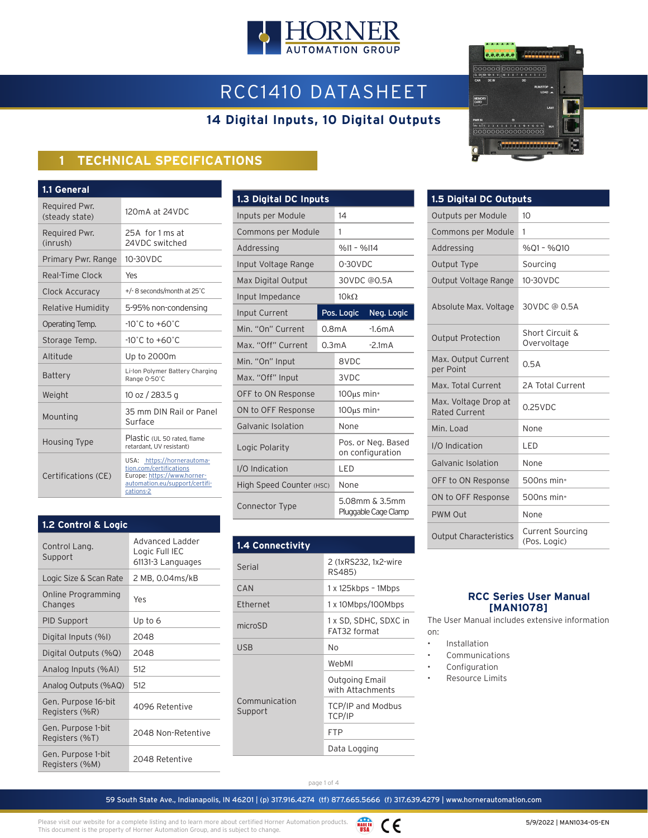# **HORNER**

## RCC1410 DATASHEET

## **14 Digital Inputs, 10 Digital Outputs**



## **1 TECHNICAL SPECIFICATIONS**

| 1.1 General                     |                                                                                                                                     |
|---------------------------------|-------------------------------------------------------------------------------------------------------------------------------------|
| Required Pwr.<br>(steady state) | 120mA at 24VDC                                                                                                                      |
| Required Pwr.<br>(inrush)       | 25A for 1 ms at<br>24VDC switched                                                                                                   |
| Primary Pwr. Range              | 10-30VDC                                                                                                                            |
| Real-Time Clock                 | Yes                                                                                                                                 |
| Clock Accuracy                  | +/-8 seconds/month at 25°C                                                                                                          |
| Relative Humidity               | 5-95% non-condensing                                                                                                                |
| Operating Temp.                 | $-10^{\circ}$ C to $+60^{\circ}$ C                                                                                                  |
| Storage Temp.                   | $-10^{\circ}$ C to $+60^{\circ}$ C                                                                                                  |
| Altitude                        | Up to 2000m                                                                                                                         |
| Battery                         | Li-Ion Polymer Battery Charging<br>Range 0-50°C                                                                                     |
| Weight                          | 10 oz / 283.5 g                                                                                                                     |
| Mounting                        | 35 mm DIN Rail or Panel<br>Surface                                                                                                  |
| Housing Type                    | Plastic (UL 50 rated, flame<br>retardant, UV resistant)                                                                             |
| Certifications (CE)             | USA: https://hornerautoma-<br>tion.com/certifications<br>Europe: https://www.horner-<br>automation.eu/support/certifi-<br>cations-2 |

| 1.2 Control & Logic                   |                                                        |  |
|---------------------------------------|--------------------------------------------------------|--|
| Control Lang.<br>Support              | Advanced Ladder<br>Logic Full IEC<br>61131-3 Languages |  |
| Logic Size & Scan Rate                | 2 MB, 0.04ms/kB                                        |  |
| Online Programming<br>Changes         | Yes                                                    |  |
| <b>PID Support</b>                    | Up to 6                                                |  |
| Digital Inputs (%I)                   | 2048                                                   |  |
| Digital Outputs (%Q)                  | 2048                                                   |  |
| Analog Inputs (%AI)                   | 512                                                    |  |
| Analog Outputs (%AQ)                  | 512                                                    |  |
| Gen. Purpose 16-bit<br>Registers (%R) | 4096 Retentive                                         |  |
| Gen. Purpose 1-bit<br>Registers (%T)  | 2048 Non-Retentive                                     |  |
| Gen. Purpose 1-bit<br>Registers (%M)  | 2048 Retentive                                         |  |

| 1.3 Digital DC Inputs    |                    |                                        |                                        |
|--------------------------|--------------------|----------------------------------------|----------------------------------------|
| Inputs per Module        |                    | 14                                     |                                        |
| Commons per Module       |                    | 1                                      |                                        |
| Addressing               |                    | $%11 - %114$                           |                                        |
| Input Voltage Range      |                    | 0-30VDC                                |                                        |
| Max Digital Output       |                    | 30VDC @0.5A                            |                                        |
| Input Impedance          |                    | $10k\Omega$                            |                                        |
| Input Current            |                    | Pos. Logic                             | Neg. Logic                             |
| Min. "On" Current        | 0.8mA              |                                        | $-1.6mA$                               |
| Max. "Off" Current       | 0.3 <sub>m</sub> A |                                        | $-2.1mA$                               |
| Min. "On" Input          |                    | 8VDC                                   |                                        |
| Max. "Off" Input         |                    | 3VDC                                   |                                        |
| OFF to ON Response       |                    | $100\mu s$ min*                        |                                        |
| ON to OFF Response       |                    | $100\mu s$ min*                        |                                        |
| Galvanic Isolation       |                    | None                                   |                                        |
| Logic Polarity           |                    | Pos. or Neg. Based<br>on configuration |                                        |
| I/O Indication           |                    | LED                                    |                                        |
| High Speed Counter (HSC) |                    | None                                   |                                        |
| Connector Type           |                    |                                        | 5.08mm & 3.5mm<br>Pluggable Cage Clamp |

| 1.4 Connectivity         |                                       |  |  |
|--------------------------|---------------------------------------|--|--|
| Serial                   | 2 (1xRS232, 1x2-wire<br>RS485)        |  |  |
| CAN                      | $1x$ 125kbps - 1Mbps                  |  |  |
| Ethernet                 | 1 x 10Mbps/100Mbps                    |  |  |
| microSD                  | 1 x SD, SDHC, SDXC in<br>FAT32 format |  |  |
| USB                      | No                                    |  |  |
| Communication<br>Support | WebMI                                 |  |  |
|                          | Outgoing Email<br>with Attachments    |  |  |
|                          | <b>TCP/IP and Modbus</b><br>TCP/IP    |  |  |
|                          | <b>FTP</b>                            |  |  |
|                          | Data Logging                          |  |  |

| 1.5 Digital DC Outputs                       |                                         |  |  |  |
|----------------------------------------------|-----------------------------------------|--|--|--|
| Outputs per Module                           | 10                                      |  |  |  |
| Commons per Module                           | 1                                       |  |  |  |
| Addressing                                   | %01 - %010                              |  |  |  |
| Output Type                                  | Sourcing                                |  |  |  |
| Output Voltage Range                         | 10-30VDC                                |  |  |  |
| Absolute Max. Voltage                        | 30VDC @ 0.5A                            |  |  |  |
| <b>Output Protection</b>                     | Short Circuit &<br>Overvoltage          |  |  |  |
| Max. Output Current<br>per Point             | 0.5A                                    |  |  |  |
| Max. Total Current                           | 2A Total Current                        |  |  |  |
| Max. Voltage Drop at<br><b>Rated Current</b> | $0.25$ VDC                              |  |  |  |
| Min. Load                                    | None                                    |  |  |  |
| I/O Indication                               | LED                                     |  |  |  |
| Galvanic Isolation                           | None                                    |  |  |  |
| OFF to ON Response                           | $500ns$ min $*$                         |  |  |  |
| ON to OFF Response                           | $500ns$ min $*$                         |  |  |  |
| <b>PWM Out</b>                               | None                                    |  |  |  |
| <b>Output Characteristics</b>                | <b>Current Sourcing</b><br>(Pos. Logic) |  |  |  |

#### **RCC Series User Manual [MAN1078]**

The User Manual includes extensive information on:

- Installation
- Communications
- Configuration
- Resource Limits

#### page 1 of 4

59 South State Ave., Indianapolis, IN 46201 | (p) 317.916.4274 (tf) 877.665.5666 (f) 317.639.4279 | www.hornerautomation.com

Please visit our website for a complete listing and to learn more about certified Horner Automation products. This document is the property of Horner Automation Group, and is subject to change.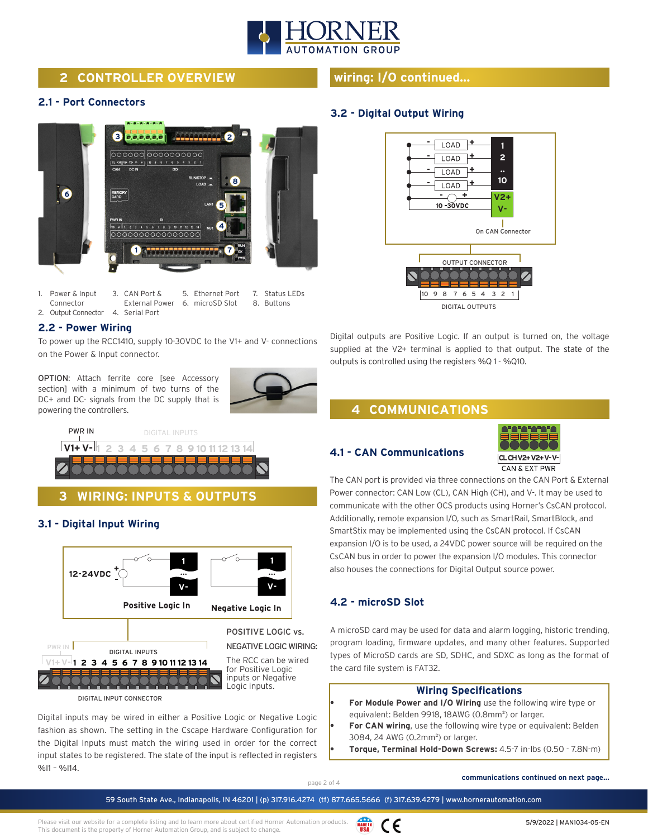

#### **2 CONTROLLER OVERVIEW wiring: I/O continued...**

#### **2.1 - Port Connectors**



1. Power & Input Connector 2. Output Connector 4. Serial Port 3. CAN Port & External Power 6. microSD Slot 5. Ethernet Port 7. Status LEDs 8. Buttons

#### **2.2 - Power Wiring**

To power up the RCC1410, supply 10-30VDC to the V1+ and V- connections on the Power & Input connector.

OPTION: Attach ferrite core [see Accessory section] with a minimum of two turns of the DC+ and DC- signals from the DC supply that is powering the controllers. **4 COMMUNICATIONS**





**3 WIRING: INPUTS & OUTPUTS**

#### **3.1 - Digital Input Wiring**



Digital inputs may be wired in either a Positive Logic or Negative Logic fashion as shown. The setting in the Cscape Hardware Configuration for the Digital Inputs must match the wiring used in order for the correct input states to be registered. The state of the input is reflected in registers %I1 – %I14.

#### **3.2 - Digital Output Wiring**



Digital outputs are Positive Logic. If an output is turned on, the voltage supplied at the V2+ terminal is applied to that output. The state of the outputs is controlled using the registers %Q 1 - %Q10.

**4.1 - CAN Communications**



The CAN port is provided via three connections on the CAN Port & External Power connector: CAN Low (CL), CAN High (CH), and V-. It may be used to communicate with the other OCS products using Horner's CsCAN protocol. Additionally, remote expansion I/O, such as SmartRail, SmartBlock, and SmartStix may be implemented using the CsCAN protocol. If CsCAN expansion I/O is to be used, a 24VDC power source will be required on the CsCAN bus in order to power the expansion I/O modules. This connector also houses the connections for Digital Output source power.

#### **4.2 - microSD Slot**

A microSD card may be used for data and alarm logging, historic trending, program loading, firmware updates, and many other features. Supported types of MicroSD cards are SD, SDHC, and SDXC as long as the format of the card file system is FAT32.

#### **Wiring Specifications**

- **• For Module Power and I/O Wiring** use the following wire type or equivalent: Belden 9918, 18AWG (0.8mm<sup>2</sup>) or larger.
- **• For CAN wiring**, use the following wire type or equivalent: Belden 3084, 24 AWG (0.2mm<sup>2</sup>) or larger.
	- **• Torque, Terminal Hold-Down Screws:** 4.5-7 in-lbs (0.50 7.8N-m)

#### **communications continued on next page...**<br> **communications continued on next page...**

59 South State Ave., Indianapolis, IN 46201 | (p) 317.916.4274 (tf) 877.665.5666 (f) 317.639.4279 | www.hornerautomation.com

WADE IN CE Please visit our website for a complete listing and to learn more about certified Horner Automation products. This document is the property of Horner Automation Group, and is subject to change.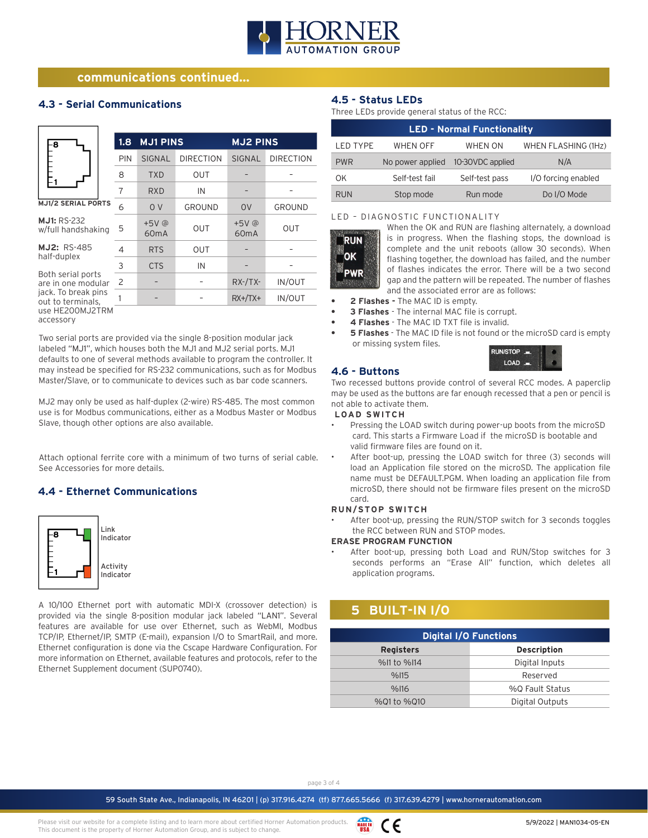

#### **communications continued...**

#### **4.3 - Serial Communications**

| -8                                       | $\overline{1.8}$ | <b>MJ1 PINS</b> |                  | <b>MJ2 PINS</b>            |                  |
|------------------------------------------|------------------|-----------------|------------------|----------------------------|------------------|
|                                          | PIN              | SIGNAL          | <b>DIRECTION</b> | <b>SIGNAL</b>              | <b>DIRECTION</b> |
|                                          | 8                | <b>TXD</b>      | <b>OUT</b>       |                            |                  |
|                                          | 7                | <b>RXD</b>      | IN               |                            |                  |
| <b>MJ1/2 SERIAL PORTS</b>                | 6                | 0 <sub>V</sub>  | GROUND           | 0V                         | GROUND           |
| <b>MJ1: RS-232</b><br>w/full handshaking | 5                | +5V @<br>60mA   | <b>OUT</b>       | +5V @<br>60 <sub>m</sub> A | <b>OUT</b>       |
| <b>MJ2: RS-485</b><br>half-duplex        | 4                | <b>RTS</b>      | <b>OUT</b>       |                            |                  |
|                                          | 3                | <b>CTS</b>      | IN               |                            |                  |
| Both serial ports<br>are in one modular  | 2                |                 |                  | $RX$ -/TX-                 | <b>IN/OUT</b>    |
| jack. To break pins<br>out to terminals, |                  |                 |                  | $RX+/TX+$                  | IN/OUT           |
| use HE200MJ2TRM<br>accessory             |                  |                 |                  |                            |                  |

Two serial ports are provided via the single 8-position modular jack labeled "MJ1", which houses both the MJ1 and MJ2 serial ports. MJ1 defaults to one of several methods available to program the controller. It may instead be specified for RS-232 communications, such as for Modbus Master/Slave, or to communicate to devices such as bar code scanners.

MJ2 may only be used as half-duplex (2-wire) RS-485. The most common use is for Modbus communications, either as a Modbus Master or Modbus Slave, though other options are also available.

Attach optional ferrite core with a minimum of two turns of serial cable. See Accessories for more details.

#### **4.4 - Ethernet Communications**



A 10/100 Ethernet port with automatic MDI-X (crossover detection) is provided via the single 8-position modular jack labeled "LAN1". Several features are available for use over Ethernet, such as WebMI, Modbus TCP/IP, Ethernet/IP, SMTP (E-mail), expansion I/O to SmartRail, and more. Ethernet configuration is done via the Cscape Hardware Configuration. For more information on Ethernet, available features and protocols, refer to the Ethernet Supplement document (SUP0740).

#### **4.5 - Status LEDs**

Three LEDs provide general status of the RCC:

| <b>LED - Normal Functionality</b> |                  |                  |                     |  |  |
|-----------------------------------|------------------|------------------|---------------------|--|--|
| LED TYPE                          | <b>WHEN OFF</b>  | <b>WHEN ON</b>   | WHEN FLASHING (1Hz) |  |  |
| <b>PWR</b>                        | No power applied | 10-30VDC applied | N/A                 |  |  |
| OK.                               | Self-test fail   | Self-test pass   | I/O forcing enabled |  |  |
| <b>RUN</b>                        | Stop mode        | Run mode         | Do I/O Mode         |  |  |

#### LED – DIAGNOSTIC FUNCTIONALITY



When the OK and RUN are flashing alternately, a download is in progress. When the flashing stops, the download is complete and the unit reboots (allow 30 seconds). When flashing together, the download has failed, and the number of flashes indicates the error. There will be a two second gap and the pattern will be repeated. The number of flashes and the associated error are as follows:

- **• 2 Flashes -** The MAC ID is empty.
- **• 3 Flashes**  The internal MAC file is corrupt.
- **• 4 Flashes** The MAC ID TXT file is invalid.
- **• 5 Flashes** The MAC ID file is not found or the microSD card is empty or missing system files.



Two recessed buttons provide control of several RCC modes. A paperclip may be used as the buttons are far enough recessed that a pen or pencil is not able to activate them.

#### **LOAD SWITCH**

**4.6 - Buttons**

- Pressing the LOAD switch during power-up boots from the microSD card. This starts a Firmware Load if the microSD is bootable and valid firmware files are found on it.
- After boot-up, pressing the LOAD switch for three (3) seconds will load an Application file stored on the microSD. The application file name must be DEFAULT.PGM. When loading an application file from microSD, there should not be firmware files present on the microSD card.

#### **RUN/STOP SWITCH**

After boot-up, pressing the RUN/STOP switch for 3 seconds toggles the RCC between RUN and STOP modes.

#### **ERASE PROGRAM FUNCTION**

After boot-up, pressing both Load and RUN/Stop switches for 3 seconds performs an "Erase All" function, which deletes all application programs.

#### **5 BUILT-IN I/O**

| <b>Digital I/O Functions</b> |                    |  |  |
|------------------------------|--------------------|--|--|
| <b>Registers</b>             | <b>Description</b> |  |  |
| %11 to %114                  | Digital Inputs     |  |  |
| %115                         | Reserved           |  |  |
| %116                         | %0 Fault Status    |  |  |
| %01 to %010                  | Digital Outputs    |  |  |

page 3 of 4